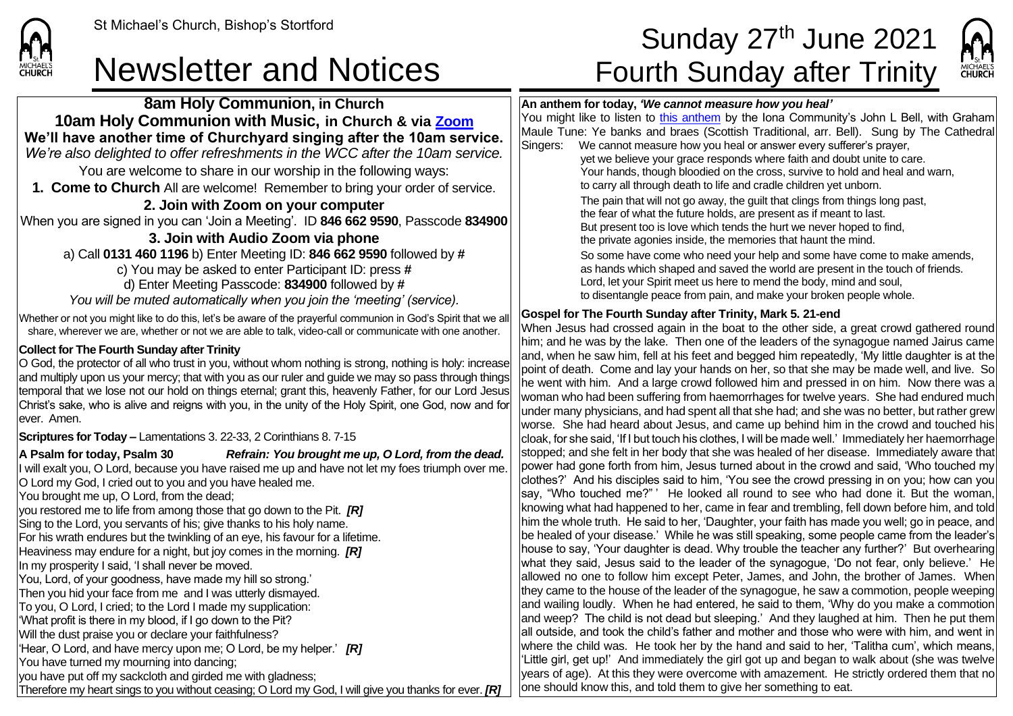

**8am Holy Communion, in Church 10am Holy Communion with Music, in Church & via [Zoom](https://zoom.us/) We'll have another time of Churchyard singing after the 10am service.** *We're also delighted to offer refreshments in the WCC after the 10am service.* You are welcome to share in our worship in the following ways: **1. Come to Church** All are welcome! Remember to bring your order of service. **2. Join with Zoom on your computer** When you are signed in you can 'Join a Meeting'. ID **846 662 9590**, Passcode **834900 3. Join with Audio Zoom via phone**  a) Call **0131 460 1196** b) Enter Meeting ID: **846 662 9590** followed by **#** c) You may be asked to enter Participant ID: press **#** d) Enter Meeting Passcode: **834900** followed by **#** *You will be muted automatically when you join the 'meeting' (service).*

Whether or not you might like to do this, let's be aware of the prayerful communion in God's Spirit that we all share, wherever we are, whether or not we are able to talk, video-call or communicate with one another.

## **Collect for The Fourth Sunday after Trinity**

O God, the protector of all who trust in you, without whom nothing is strong, nothing is holy: increase and multiply upon us your mercy; that with you as our ruler and quide we may so pass through things temporal that we lose not our hold on things eternal; grant this, heavenly Father, for our Lord Jesus Christ's sake, who is alive and reigns with you, in the unity of the Holy Spirit, one God, now and for ever. Amen.

**Scriptures for Today –** Lamentations 3. 22-33, 2 Corinthians 8. 7-15

**A Psalm for today, Psalm 30** *Refrain: You brought me up, O Lord, from the dead.* I will exalt you, O Lord, because you have raised me up and have not let my foes triumph over me. O Lord my God, I cried out to you and you have healed me. You brought me up, O Lord, from the dead; you restored me to life from among those that go down to the Pit. *[R]* Sing to the Lord, you servants of his; give thanks to his holy name. For his wrath endures but the twinkling of an eye, his favour for a lifetime. Heaviness may endure for a night, but joy comes in the morning. *[R]* In my prosperity I said, 'I shall never be moved. You, Lord, of your goodness, have made my hill so strong.' Then you hid your face from me and I was utterly dismayed. To you, O Lord, I cried; to the Lord I made my supplication: 'What profit is there in my blood, if I go down to the Pit? Will the dust praise you or declare your faithfulness? 'Hear, O Lord, and have mercy upon me; O Lord, be my helper.' *[R]* You have turned my mourning into dancing;

you have put off my sackcloth and girded me with gladness;

Therefore my heart sings to you without ceasing; O Lord my God, I will give you thanks for ever. *[R]*

## St Michael's Church, Bishop's Stortford  $\textsf{Sunday 27}^{\textsf{th}}$  June 2021 Newsletter and Notices Fourth Sunday after Trinity



### **An anthem for today,** *'We cannot measure how you heal'*

You might like to listen to [this anthem](https://www.youtube.com/watch?v=4LpIF4JhWuU) by the Iona Community's John L Bell, with Graham Maule Tune: Ye banks and braes (Scottish Traditional, arr. Bell). Sung by The Cathedral Singers: We cannot measure how you heal or answer every sufferer's prayer,

yet we believe your grace responds where faith and doubt unite to care. Your hands, though bloodied on the cross, survive to hold and heal and warn, to carry all through death to life and cradle children yet unborn.

The pain that will not go away, the guilt that clings from things long past, the fear of what the future holds, are present as if meant to last. But present too is love which tends the hurt we never hoped to find, the private agonies inside, the memories that haunt the mind.

So some have come who need your help and some have come to make amends, as hands which shaped and saved the world are present in the touch of friends. Lord, let your Spirit meet us here to mend the body, mind and soul, to disentangle peace from pain, and make your broken people whole.

### **Gospel for The Fourth Sunday after Trinity, Mark 5. 21-end**

When Jesus had crossed again in the boat to the other side, a great crowd gathered round him; and he was by the lake. Then one of the leaders of the synagogue named Jairus came and, when he saw him, fell at his feet and begged him repeatedly, 'My little daughter is at the point of death. Come and lay your hands on her, so that she may be made well, and live. So he went with him. And a large crowd followed him and pressed in on him. Now there was a woman who had been suffering from haemorrhages for twelve years. She had endured much under many physicians, and had spent all that she had; and she was no better, but rather grew worse. She had heard about Jesus, and came up behind him in the crowd and touched his cloak, for she said, 'If I but touch his clothes, I will be made well.' Immediately her haemorrhage stopped; and she felt in her body that she was healed of her disease. Immediately aware that power had gone forth from him, Jesus turned about in the crowd and said, 'Who touched my clothes?' And his disciples said to him, 'You see the crowd pressing in on you; how can you say, "Who touched me?" ' He looked all round to see who had done it. But the woman, knowing what had happened to her, came in fear and trembling, fell down before him, and told him the whole truth. He said to her, 'Daughter, your faith has made you well; go in peace, and be healed of your disease.' While he was still speaking, some people came from the leader's house to say, 'Your daughter is dead. Why trouble the teacher any further?' But overhearing what they said, Jesus said to the leader of the synagogue, 'Do not fear, only believe.' He allowed no one to follow him except Peter, James, and John, the brother of James. When they came to the house of the leader of the synagogue, he saw a commotion, people weeping and wailing loudly. When he had entered, he said to them, 'Why do you make a commotion and weep? The child is not dead but sleeping.' And they laughed at him. Then he put them all outside, and took the child's father and mother and those who were with him, and went in where the child was. He took her by the hand and said to her, 'Talitha cum', which means, 'Little girl, get up!' And immediately the girl got up and began to walk about (she was twelve years of age). At this they were overcome with amazement. He strictly ordered them that no one should know this, and told them to give her something to eat.